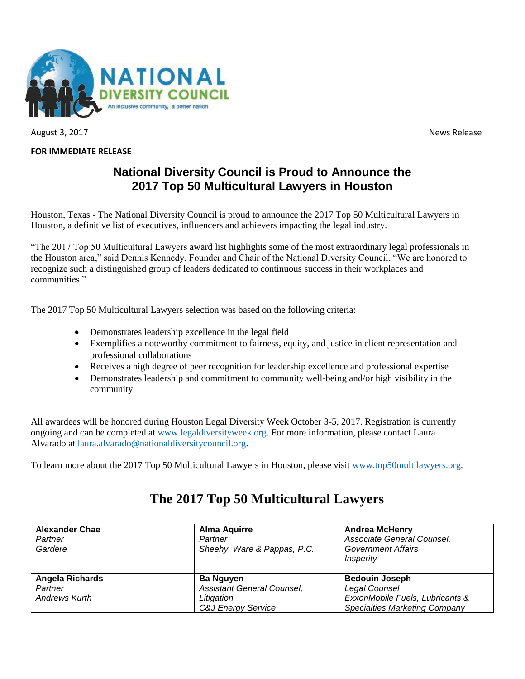

August 3, 2017 **News** Release

#### **FOR IMMEDIATE RELEASE**

## **National Diversity Council is Proud to Announce the 2017 Top 50 Multicultural Lawyers in Houston**

Houston, Texas - The National Diversity Council is proud to announce the 2017 Top 50 Multicultural Lawyers in Houston, a definitive list of executives, influencers and achievers impacting the legal industry.

"The 2017 Top 50 Multicultural Lawyers award list highlights some of the most extraordinary legal professionals in the Houston area," said Dennis Kennedy, Founder and Chair of the National Diversity Council. "We are honored to recognize such a distinguished group of leaders dedicated to continuous success in their workplaces and communities."

The 2017 Top 50 Multicultural Lawyers selection was based on the following criteria:

- Demonstrates leadership excellence in the legal field
- Exemplifies a noteworthy commitment to fairness, equity, and justice in client representation and professional collaborations
- Receives a high degree of peer recognition for leadership excellence and professional expertise
- Demonstrates leadership and commitment to community well-being and/or high visibility in the community

All awardees will be honored during Houston Legal Diversity Week October 3-5, 2017. Registration is currently ongoing and can be completed at [www.legaldiversityweek.org.](http://www.legaldiversityweek.org/) For more information, please contact Laura Alvarado at [laura.alvarado@nationaldiversitycouncil.org.](mailto:laura.alvarado@nationaldiversitycouncil.org)

To learn more about the 2017 Top 50 Multicultural Lawyers in Houston, please visit [www.top50multilawyers.org.](http://www.top50multilawyers.org/)

# **The 2017 Top 50 Multicultural Lawyers**

| <b>Alexander Chae</b><br>Partner<br>Gardere        | <b>Alma Aquirre</b><br>Partner<br>Sheehy, Ware & Pappas, P.C.                             | <b>Andrea McHenry</b><br>Associate General Counsel,<br><b>Government Affairs</b><br>Insperity                     |
|----------------------------------------------------|-------------------------------------------------------------------------------------------|-------------------------------------------------------------------------------------------------------------------|
| Angela Richards<br>Partner<br><b>Andrews Kurth</b> | <b>Ba Nguyen</b><br><b>Assistant General Counsel,</b><br>Litigation<br>C&J Energy Service | <b>Bedouin Joseph</b><br>Legal Counsel<br>ExxonMobile Fuels, Lubricants &<br><b>Specialties Marketing Company</b> |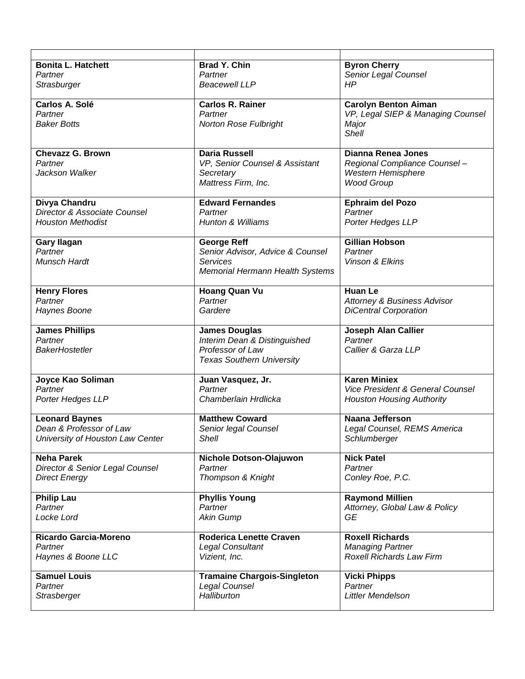| <b>Bonita L. Hatchett</b>        | <b>Brad Y. Chin</b>                    | <b>Byron Cherry</b>                    |
|----------------------------------|----------------------------------------|----------------------------------------|
| Partner                          | Partner                                | Senior Legal Counsel                   |
| Strasburger                      | <b>Beacewell LLP</b>                   | <b>HP</b>                              |
|                                  |                                        |                                        |
| Carlos A. Solé                   | <b>Carlos R. Rainer</b>                | <b>Carolyn Benton Aiman</b>            |
| Partner                          | Partner                                | VP, Legal SIEP & Managing Counsel      |
| <b>Baker Botts</b>               | <b>Norton Rose Fulbright</b>           | Major                                  |
|                                  |                                        | <b>Shell</b>                           |
|                                  |                                        |                                        |
| <b>Chevazz G. Brown</b>          | <b>Daria Russell</b>                   | <b>Dianna Renea Jones</b>              |
| Partner                          | VP, Senior Counsel & Assistant         | Regional Compliance Counsel-           |
| Jackson Walker                   | Secretary                              | Western Hemisphere                     |
|                                  | Mattress Firm, Inc.                    | <b>Wood Group</b>                      |
|                                  |                                        |                                        |
| Divya Chandru                    | <b>Edward Fernandes</b>                | <b>Ephraim del Pozo</b>                |
| Director & Associate Counsel     | Partner                                | Partner                                |
| <b>Houston Methodist</b>         | <b>Hunton &amp; Williams</b>           | Porter Hedges LLP                      |
|                                  |                                        |                                        |
| <b>Gary Ilagan</b>               | <b>George Reff</b>                     | <b>Gillian Hobson</b>                  |
| Partner                          | Senior Advisor, Advice & Counsel       | Partner                                |
| Munsch Hardt                     | <b>Services</b>                        | Vinson & Elkins                        |
|                                  | <b>Memorial Hermann Health Systems</b> |                                        |
|                                  |                                        |                                        |
| <b>Henry Flores</b>              | <b>Hoang Quan Vu</b>                   | <b>Huan Le</b>                         |
| Partner                          | Partner                                | <b>Attorney &amp; Business Advisor</b> |
| Haynes Boone                     | Gardere                                | <b>DiCentral Corporation</b>           |
|                                  |                                        |                                        |
| <b>James Phillips</b>            | <b>James Douglas</b>                   | Joseph Alan Callier                    |
| Partner                          | Interim Dean & Distinguished           | Partner                                |
| <b>BakerHostetler</b>            | Professor of Law                       | Callier & Garza LLP                    |
|                                  | <b>Texas Southern University</b>       |                                        |
|                                  |                                        |                                        |
| Joyce Kao Soliman                | Juan Vasquez, Jr.                      | <b>Karen Miniex</b>                    |
| Partner                          | Partner                                | Vice President & General Counsel       |
| Porter Hedges LLP                | Chamberlain Hrdlicka                   | <b>Houston Housing Authority</b>       |
|                                  |                                        |                                        |
| <b>Leonard Baynes</b>            | <b>Matthew Coward</b>                  | Naana Jefferson                        |
| Dean & Professor of Law          | Senior legal Counsel                   | Legal Counsel, REMS America            |
| University of Houston Law Center | Shell                                  | Schlumberger                           |
|                                  |                                        |                                        |
| <b>Neha Parek</b>                | Nichole Dotson-Olajuwon                | <b>Nick Patel</b>                      |
| Director & Senior Legal Counsel  | Partner                                | Partner                                |
| <b>Direct Energy</b>             | Thompson & Knight                      | Conley Roe, P.C.                       |
|                                  |                                        |                                        |
| <b>Philip Lau</b>                | <b>Phyllis Young</b>                   | <b>Raymond Millien</b>                 |
| Partner                          | Partner                                | Attorney, Global Law & Policy          |
| Locke Lord                       | <b>Akin Gump</b>                       | GE                                     |
|                                  |                                        |                                        |
| Ricardo Garcia-Moreno            | <b>Roderica Lenette Craven</b>         | <b>Roxell Richards</b>                 |
| Partner                          | <b>Legal Consultant</b>                | <b>Managing Partner</b>                |
| Haynes & Boone LLC               | Vizient, Inc.                          | <b>Roxell Richards Law Firm</b>        |
|                                  |                                        |                                        |
| <b>Samuel Louis</b>              | <b>Tramaine Chargois-Singleton</b>     | <b>Vicki Phipps</b>                    |
| Partner                          | Legal Counsel                          | Partner                                |
| Strasberger                      | Halliburton                            | Littler Mendelson                      |
|                                  |                                        |                                        |